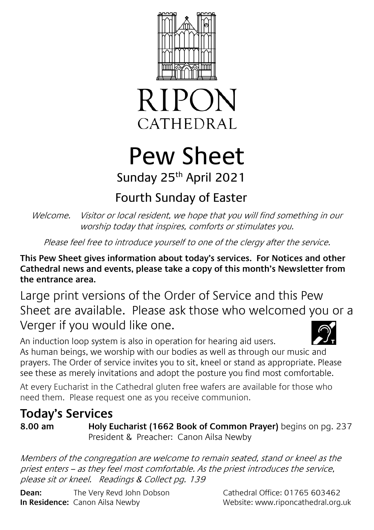



# Pew Sheet Sunday 25th April 2021

## Fourth Sunday of Easter

Welcome. Visitor or local resident, we hope that you will find something in our worship today that inspires, comforts or stimulates you.

Please feel free to introduce yourself to one of the clergy after the service.

**This Pew Sheet gives information about today's services. For Notices and other Cathedral news and events, please take a copy of this month's Newsletter from the entrance area.** 

Large print versions of the Order of Service and this Pew Sheet are available. Please ask those who welcomed you or a Verger if you would like one.



An induction loop system is also in operation for hearing aid users. As human beings, we worship with our bodies as well as through our music and prayers. The Order of service invites you to sit, kneel or stand as appropriate. Please see these as merely invitations and adopt the posture you find most comfortable.

At every Eucharist in the Cathedral gluten free wafers are available for those who need them. Please request one as you receive communion.

### **Today's Services**

**8.00 am Holy Eucharist (1662 Book of Common Prayer)** begins on pg. 237 President & Preacher: Canon Ailsa Newby

Members of the congregation are welcome to remain seated, stand or kneel as the priest enters – as they feel most comfortable. As the priest introduces the service, please sit or kneel. Readings & Collect pg. 139

**Dean:** The Very Revd John Dobson Cathedral Office: 01765 603462 **In Residence:** Canon Ailsa Newby Website: www.riponcathedral.org.uk